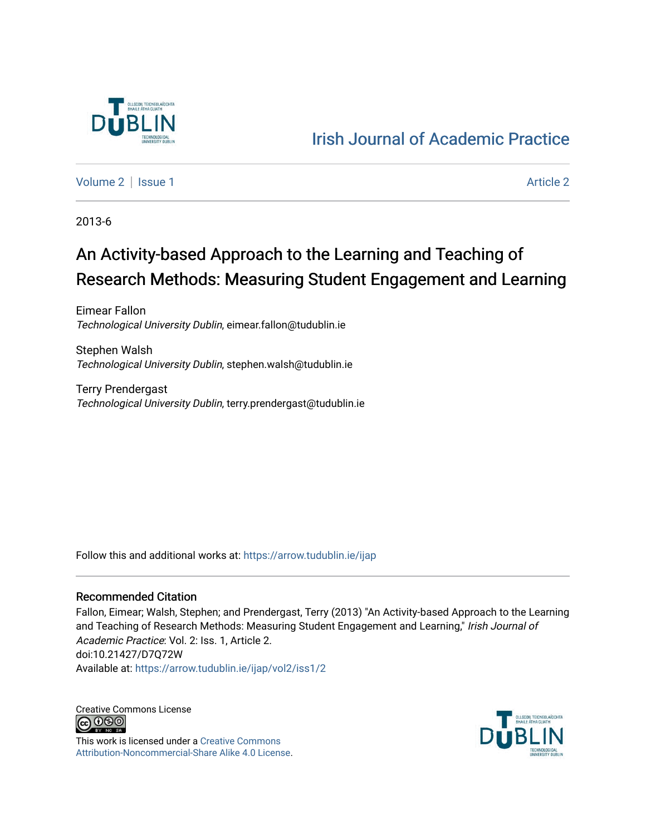

# [Irish Journal of Academic Practice](https://arrow.tudublin.ie/ijap)

[Volume 2](https://arrow.tudublin.ie/ijap/vol2) | [Issue 1](https://arrow.tudublin.ie/ijap/vol2/iss1) [Article 2](https://arrow.tudublin.ie/ijap/vol2/iss1/2) | Article 2 Article 2 | Article 2 | Article 2 | Article 2 | Article 2 | Article 2

2013-6

# An Activity-based Approach to the Learning and Teaching of Research Methods: Measuring Student Engagement and Learning

Eimear Fallon Technological University Dublin, eimear.fallon@tudublin.ie

Stephen Walsh Technological University Dublin, stephen.walsh@tudublin.ie

Terry Prendergast Technological University Dublin, terry.prendergast@tudublin.ie

Follow this and additional works at: [https://arrow.tudublin.ie/ijap](https://arrow.tudublin.ie/ijap?utm_source=arrow.tudublin.ie%2Fijap%2Fvol2%2Fiss1%2F2&utm_medium=PDF&utm_campaign=PDFCoverPages) 

#### Recommended Citation

Fallon, Eimear; Walsh, Stephen; and Prendergast, Terry (2013) "An Activity-based Approach to the Learning and Teaching of Research Methods: Measuring Student Engagement and Learning," Irish Journal of Academic Practice: Vol. 2: Iss. 1, Article 2. doi:10.21427/D7Q72W Available at: [https://arrow.tudublin.ie/ijap/vol2/iss1/2](https://arrow.tudublin.ie/ijap/vol2/iss1/2?utm_source=arrow.tudublin.ie%2Fijap%2Fvol2%2Fiss1%2F2&utm_medium=PDF&utm_campaign=PDFCoverPages) 

Creative Commons License <u>@ 0®0</u>

This work is licensed under a [Creative Commons](https://creativecommons.org/licenses/by-nc-sa/4.0/) [Attribution-Noncommercial-Share Alike 4.0 License](https://creativecommons.org/licenses/by-nc-sa/4.0/).

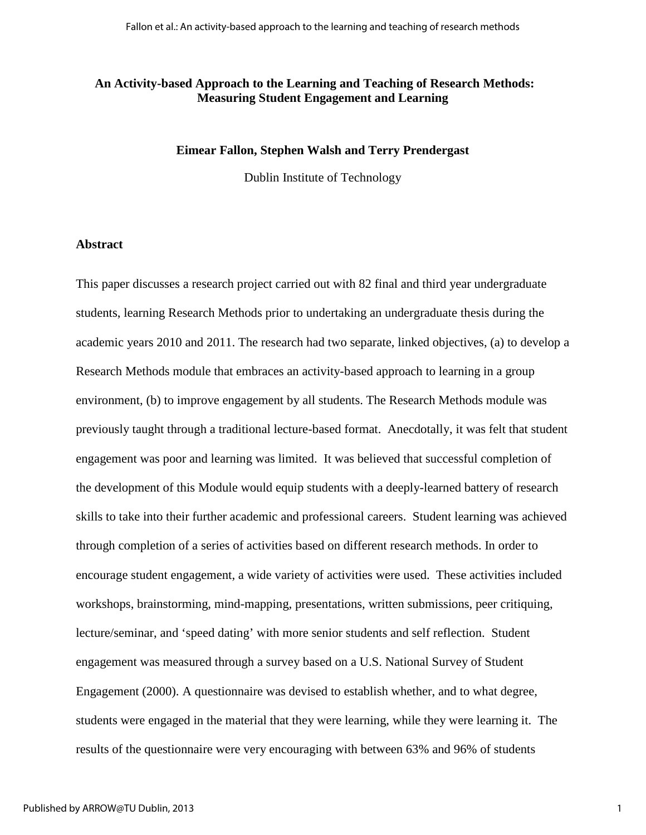### **An Activity-based Approach to the Learning and Teaching of Research Methods: Measuring Student Engagement and Learning**

#### **Eimear Fallon, Stephen Walsh and Terry Prendergast**

Dublin Institute of Technology

#### **Abstract**

This paper discusses a research project carried out with 82 final and third year undergraduate students, learning Research Methods prior to undertaking an undergraduate thesis during the academic years 2010 and 2011. The research had two separate, linked objectives, (a) to develop a Research Methods module that embraces an activity-based approach to learning in a group environment, (b) to improve engagement by all students. The Research Methods module was previously taught through a traditional lecture-based format. Anecdotally, it was felt that student engagement was poor and learning was limited. It was believed that successful completion of the development of this Module would equip students with a deeply-learned battery of research skills to take into their further academic and professional careers. Student learning was achieved through completion of a series of activities based on different research methods. In order to encourage student engagement, a wide variety of activities were used. These activities included workshops, brainstorming, mind-mapping, presentations, written submissions, peer critiquing, lecture/seminar, and 'speed dating' with more senior students and self reflection. Student engagement was measured through a survey based on a U.S. National Survey of Student Engagement (2000). A questionnaire was devised to establish whether, and to what degree, students were engaged in the material that they were learning, while they were learning it. The results of the questionnaire were very encouraging with between 63% and 96% of students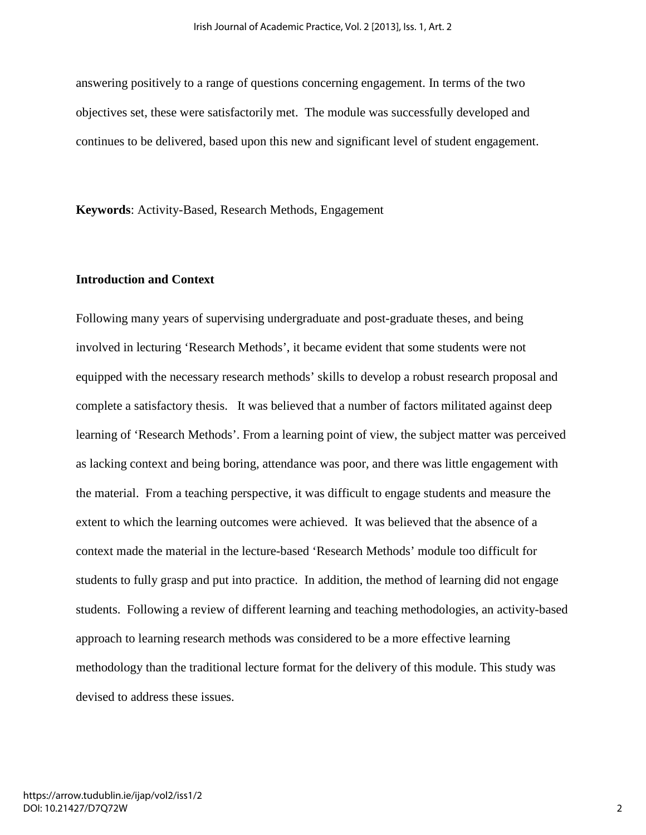answering positively to a range of questions concerning engagement. In terms of the two objectives set, these were satisfactorily met. The module was successfully developed and continues to be delivered, based upon this new and significant level of student engagement.

**Keywords**: Activity-Based, Research Methods, Engagement

## **Introduction and Context**

Following many years of supervising undergraduate and post-graduate theses, and being involved in lecturing 'Research Methods', it became evident that some students were not equipped with the necessary research methods' skills to develop a robust research proposal and complete a satisfactory thesis. It was believed that a number of factors militated against deep learning of 'Research Methods'. From a learning point of view, the subject matter was perceived as lacking context and being boring, attendance was poor, and there was little engagement with the material. From a teaching perspective, it was difficult to engage students and measure the extent to which the learning outcomes were achieved. It was believed that the absence of a context made the material in the lecture-based 'Research Methods' module too difficult for students to fully grasp and put into practice. In addition, the method of learning did not engage students. Following a review of different learning and teaching methodologies, an activity-based approach to learning research methods was considered to be a more effective learning methodology than the traditional lecture format for the delivery of this module. This study was devised to address these issues.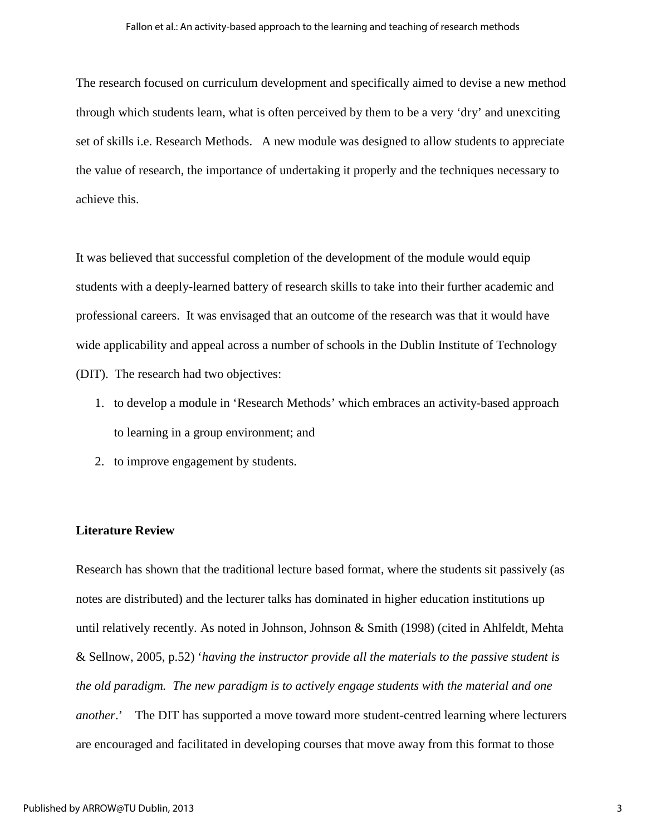The research focused on curriculum development and specifically aimed to devise a new method through which students learn, what is often perceived by them to be a very 'dry' and unexciting set of skills i.e. Research Methods. A new module was designed to allow students to appreciate the value of research, the importance of undertaking it properly and the techniques necessary to achieve this.

It was believed that successful completion of the development of the module would equip students with a deeply-learned battery of research skills to take into their further academic and professional careers. It was envisaged that an outcome of the research was that it would have wide applicability and appeal across a number of schools in the Dublin Institute of Technology (DIT). The research had two objectives:

- 1. to develop a module in 'Research Methods' which embraces an activity-based approach to learning in a group environment; and
- 2. to improve engagement by students.

#### **Literature Review**

Research has shown that the traditional lecture based format, where the students sit passively (as notes are distributed) and the lecturer talks has dominated in higher education institutions up until relatively recently. As noted in Johnson, Johnson & Smith (1998) (cited in Ahlfeldt, Mehta & Sellnow, 2005, p.52) '*having the instructor provide all the materials to the passive student is the old paradigm. The new paradigm is to actively engage students with the material and one another*.' The DIT has supported a move toward more student-centred learning where lecturers are encouraged and facilitated in developing courses that move away from this format to those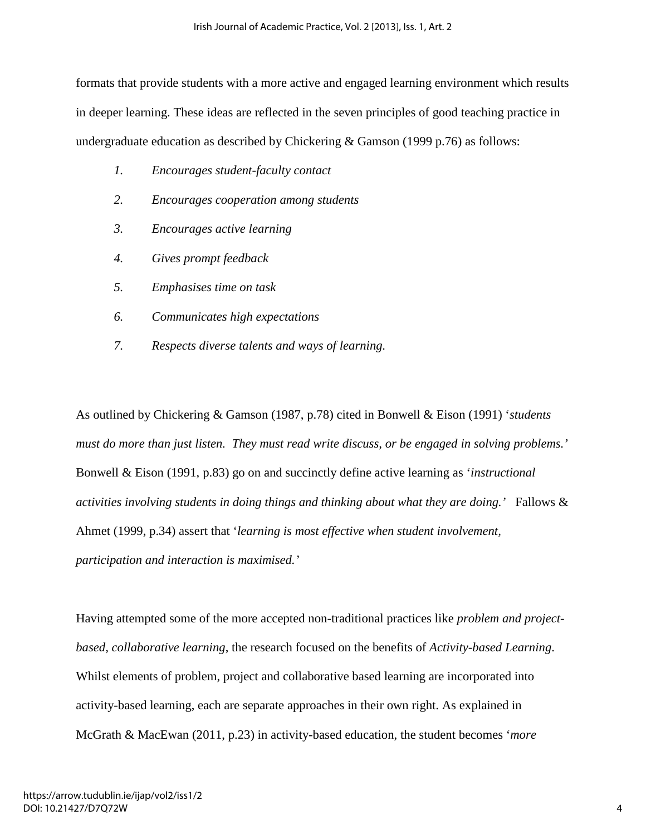formats that provide students with a more active and engaged learning environment which results in deeper learning. These ideas are reflected in the seven principles of good teaching practice in undergraduate education as described by Chickering & Gamson (1999 p.76) as follows:

- *1. Encourages student-faculty contact*
- *2. Encourages cooperation among students*
- *3. Encourages active learning*
- *4. Gives prompt feedback*
- *5. Emphasises time on task*
- *6. Communicates high expectations*
- *7. Respects diverse talents and ways of learning.*

As outlined by Chickering & Gamson (1987, p.78) cited in Bonwell & Eison (1991) '*students must do more than just listen. They must read write discuss, or be engaged in solving problems.'*  Bonwell & Eison (1991, p.83) go on and succinctly define active learning as '*instructional activities involving students in doing things and thinking about what they are doing.'* Fallows & Ahmet (1999, p.34) assert that '*learning is most effective when student involvement, participation and interaction is maximised.'* 

Having attempted some of the more accepted non-traditional practices like *problem and projectbased, collaborative learning*, the research focused on the benefits of *Activity-based Learning*. Whilst elements of problem, project and collaborative based learning are incorporated into activity-based learning, each are separate approaches in their own right. As explained in McGrath & MacEwan (2011, p.23) in activity-based education, the student becomes '*more*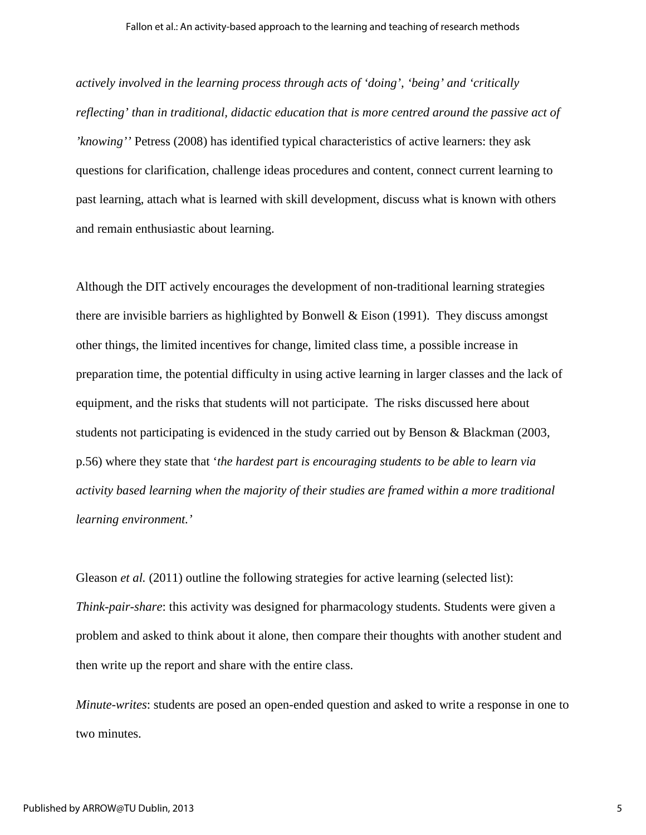*actively involved in the learning process through acts of 'doing', 'being' and 'critically reflecting' than in traditional, didactic education that is more centred around the passive act of 'knowing''* Petress (2008) has identified typical characteristics of active learners: they ask questions for clarification, challenge ideas procedures and content, connect current learning to past learning, attach what is learned with skill development, discuss what is known with others and remain enthusiastic about learning.

Although the DIT actively encourages the development of non-traditional learning strategies there are invisible barriers as highlighted by Bonwell & Eison  $(1991)$ . They discuss amongst other things, the limited incentives for change, limited class time, a possible increase in preparation time, the potential difficulty in using active learning in larger classes and the lack of equipment, and the risks that students will not participate. The risks discussed here about students not participating is evidenced in the study carried out by Benson & Blackman (2003, p.56) where they state that '*the hardest part is encouraging students to be able to learn via activity based learning when the majority of their studies are framed within a more traditional learning environment.'* 

Gleason *et al.* (2011) outline the following strategies for active learning (selected list): *Think-pair-share*: this activity was designed for pharmacology students. Students were given a problem and asked to think about it alone, then compare their thoughts with another student and then write up the report and share with the entire class.

*Minute-writes*: students are posed an open-ended question and asked to write a response in one to two minutes.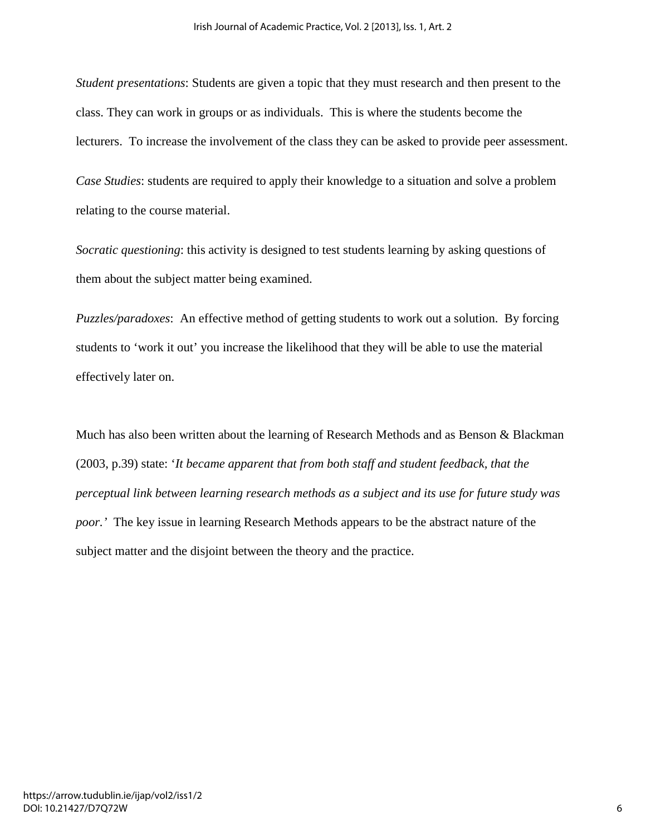*Student presentations*: Students are given a topic that they must research and then present to the class. They can work in groups or as individuals. This is where the students become the lecturers. To increase the involvement of the class they can be asked to provide peer assessment.

*Case Studies*: students are required to apply their knowledge to a situation and solve a problem relating to the course material.

*Socratic questioning*: this activity is designed to test students learning by asking questions of them about the subject matter being examined.

*Puzzles/paradoxes*: An effective method of getting students to work out a solution. By forcing students to 'work it out' you increase the likelihood that they will be able to use the material effectively later on.

Much has also been written about the learning of Research Methods and as Benson & Blackman (2003, p.39) state: '*It became apparent that from both staff and student feedback, that the perceptual link between learning research methods as a subject and its use for future study was poor.'* The key issue in learning Research Methods appears to be the abstract nature of the subject matter and the disjoint between the theory and the practice.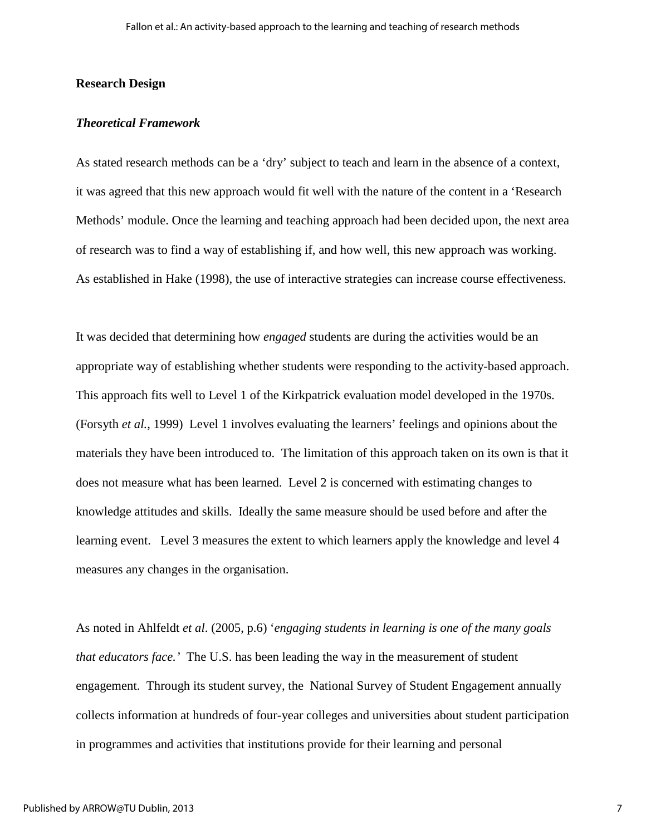#### **Research Design**

#### *Theoretical Framework*

As stated research methods can be a 'dry' subject to teach and learn in the absence of a context, it was agreed that this new approach would fit well with the nature of the content in a 'Research Methods' module. Once the learning and teaching approach had been decided upon, the next area of research was to find a way of establishing if, and how well, this new approach was working. As established in Hake (1998), the use of interactive strategies can increase course effectiveness.

It was decided that determining how *engaged* students are during the activities would be an appropriate way of establishing whether students were responding to the activity-based approach. This approach fits well to Level 1 of the Kirkpatrick evaluation model developed in the 1970s. (Forsyth *et al.*, 1999) Level 1 involves evaluating the learners' feelings and opinions about the materials they have been introduced to. The limitation of this approach taken on its own is that it does not measure what has been learned. Level 2 is concerned with estimating changes to knowledge attitudes and skills. Ideally the same measure should be used before and after the learning event. Level 3 measures the extent to which learners apply the knowledge and level 4 measures any changes in the organisation.

As noted in Ahlfeldt *et al*. (2005, p.6) '*engaging students in learning is one of the many goals that educators face.'* The U.S. has been leading the way in the measurement of student engagement.Through its student survey, the National Survey of Student Engagement annually collects information at hundreds of four-year colleges and universities about student participation in programmes and activities that institutions provide for their learning and personal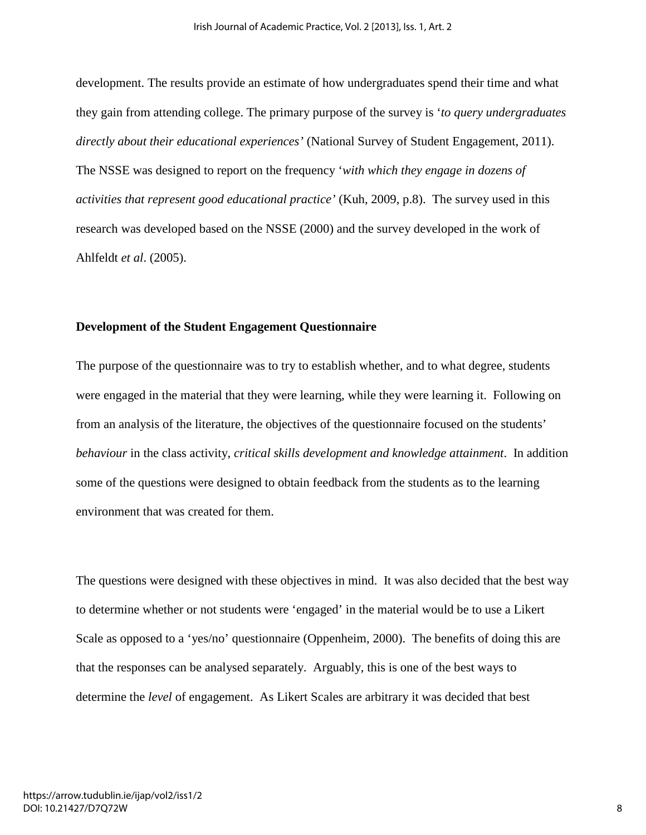development. The results provide an estimate of how undergraduates spend their time and what they gain from attending college. The primary purpose of the survey is '*to query undergraduates directly about their educational experiences'* (National Survey of Student Engagement, 2011). The NSSE was designed to report on the frequency '*with which they engage in dozens of activities that represent good educational practice'* (Kuh, 2009, p.8). The survey used in this research was developed based on the NSSE (2000) and the survey developed in the work of Ahlfeldt *et al*. (2005).

#### **Development of the Student Engagement Questionnaire**

The purpose of the questionnaire was to try to establish whether, and to what degree, students were engaged in the material that they were learning, while they were learning it. Following on from an analysis of the literature, the objectives of the questionnaire focused on the students' *behaviour* in the class activity, *critical skills development and knowledge attainment*. In addition some of the questions were designed to obtain feedback from the students as to the learning environment that was created for them.

The questions were designed with these objectives in mind. It was also decided that the best way to determine whether or not students were 'engaged' in the material would be to use a Likert Scale as opposed to a 'yes/no' questionnaire (Oppenheim, 2000). The benefits of doing this are that the responses can be analysed separately. Arguably, this is one of the best ways to determine the *level* of engagement. As Likert Scales are arbitrary it was decided that best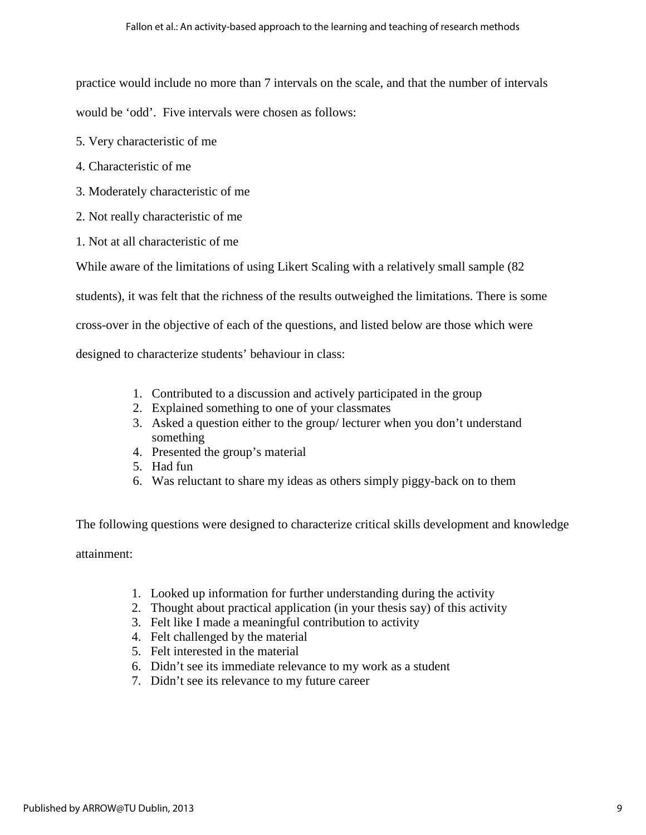practice would include no more than 7 intervals on the scale, and that the number of intervals

would be 'odd'. Five intervals were chosen as follows:

- 5. Very characteristic of me
- 4. Characteristic of me
- 3. Moderately characteristic of me
- 2. Not really characteristic of me
- 1. Not at all characteristic of me

While aware of the limitations of using Likert Scaling with a relatively small sample (82

students), it was felt that the richness of the results outweighed the limitations. There is some

cross-over in the objective of each of the questions, and listed below are those which were

designed to characterize students' behaviour in class:

- 1. Contributed to a discussion and actively participated in the group
- 2. Explained something to one of your classmates
- 3. Asked a question either to the group/ lecturer when you don't understand something
- 4. Presented the group's material
- 5. Had fun
- 6. Was reluctant to share my ideas as others simply piggy-back on to them

The following questions were designed to characterize critical skills development and knowledge attainment:

- 1. Looked up information for further understanding during the activity
- 2. Thought about practical application (in your thesis say) of this activity
- 3. Felt like I made a meaningful contribution to activity
- 4. Felt challenged by the material
- 5. Felt interested in the material
- 6. Didn't see its immediate relevance to my work as a student
- 7. Didn't see its relevance to my future career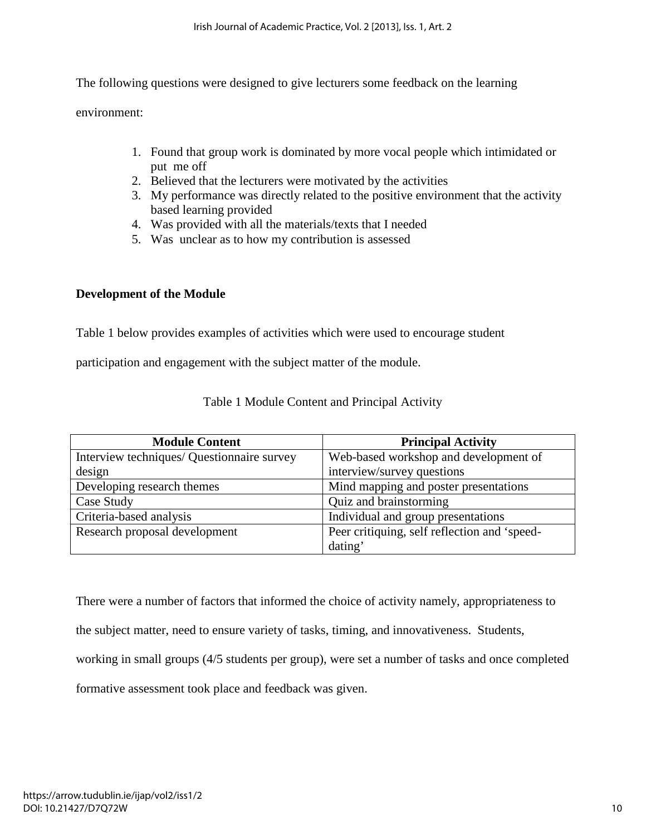The following questions were designed to give lecturers some feedback on the learning

environment:

- 1. Found that group work is dominated by more vocal people which intimidated or put me off
- 2. Believed that the lecturers were motivated by the activities
- 3. My performance was directly related to the positive environment that the activity based learning provided
- 4. Was provided with all the materials/texts that I needed
- 5. Was unclear as to how my contribution is assessed

# **Development of the Module**

Table 1 below provides examples of activities which were used to encourage student

participation and engagement with the subject matter of the module.

| <b>Module Content</b>                      | <b>Principal Activity</b>                    |
|--------------------------------------------|----------------------------------------------|
| Interview techniques/ Questionnaire survey | Web-based workshop and development of        |
| design                                     | interview/survey questions                   |
| Developing research themes                 | Mind mapping and poster presentations        |
| Case Study                                 | Quiz and brainstorming                       |
| Criteria-based analysis                    | Individual and group presentations           |
| Research proposal development              | Peer critiquing, self reflection and 'speed- |
|                                            | dating'                                      |

## Table 1 Module Content and Principal Activity

There were a number of factors that informed the choice of activity namely, appropriateness to

the subject matter, need to ensure variety of tasks, timing, and innovativeness. Students,

working in small groups (4/5 students per group), were set a number of tasks and once completed

formative assessment took place and feedback was given.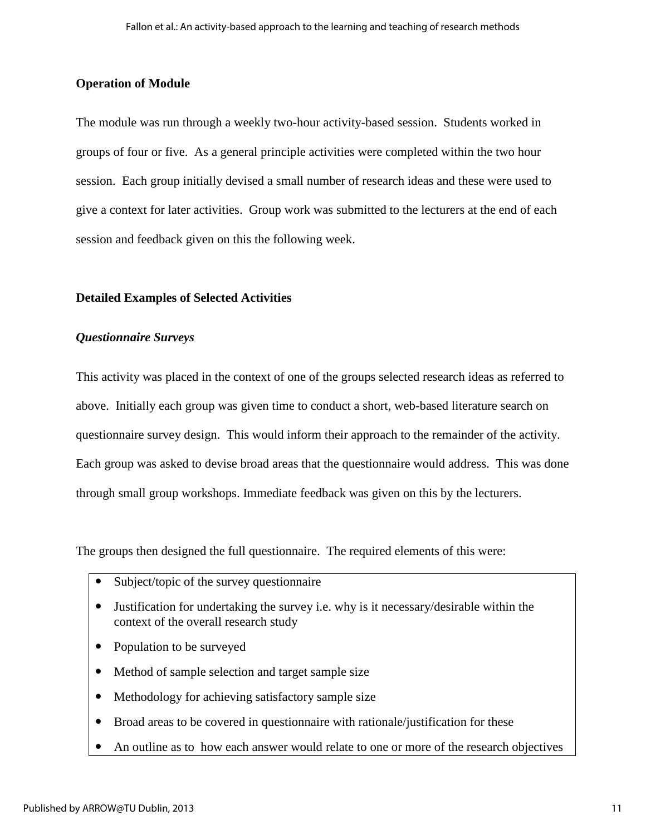## **Operation of Module**

The module was run through a weekly two-hour activity-based session. Students worked in groups of four or five. As a general principle activities were completed within the two hour session. Each group initially devised a small number of research ideas and these were used to give a context for later activities. Group work was submitted to the lecturers at the end of each session and feedback given on this the following week.

## **Detailed Examples of Selected Activities**

## *Questionnaire Surveys*

This activity was placed in the context of one of the groups selected research ideas as referred to above. Initially each group was given time to conduct a short, web-based literature search on questionnaire survey design. This would inform their approach to the remainder of the activity. Each group was asked to devise broad areas that the questionnaire would address. This was done through small group workshops. Immediate feedback was given on this by the lecturers.

The groups then designed the full questionnaire. The required elements of this were:

- Subject/topic of the survey questionnaire
- Justification for undertaking the survey i.e. why is it necessary/desirable within the context of the overall research study
- Population to be surveyed
- Method of sample selection and target sample size
- Methodology for achieving satisfactory sample size
- Broad areas to be covered in questionnaire with rationale/justification for these
- An outline as to how each answer would relate to one or more of the research objectives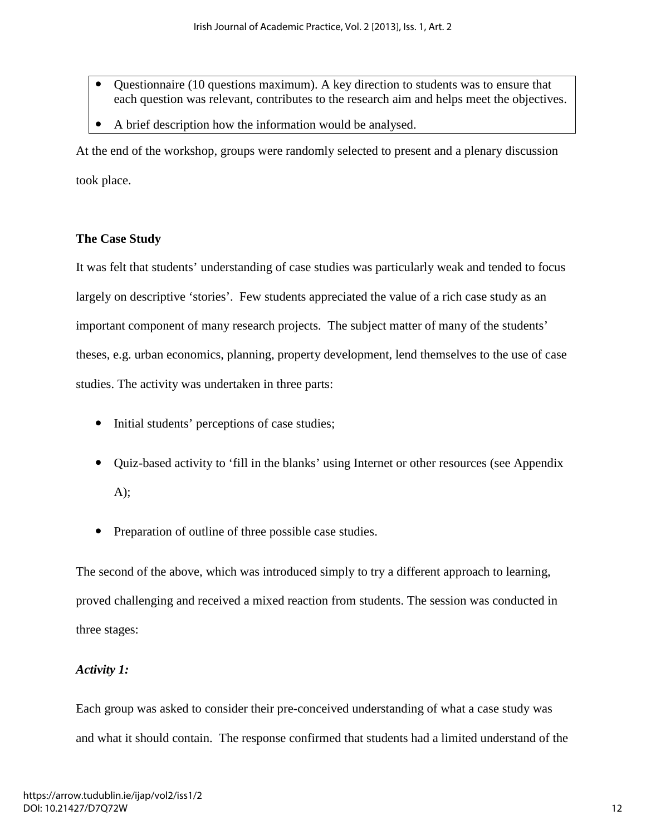- Questionnaire (10 questions maximum). A key direction to students was to ensure that each question was relevant, contributes to the research aim and helps meet the objectives.
- A brief description how the information would be analysed.

At the end of the workshop, groups were randomly selected to present and a plenary discussion took place.

# **The Case Study**

It was felt that students' understanding of case studies was particularly weak and tended to focus largely on descriptive 'stories'. Few students appreciated the value of a rich case study as an important component of many research projects. The subject matter of many of the students' theses, e.g. urban economics, planning, property development, lend themselves to the use of case studies. The activity was undertaken in three parts:

- Initial students' perceptions of case studies;
- Quiz-based activity to 'fill in the blanks' using Internet or other resources (see Appendix A);
- Preparation of outline of three possible case studies.

The second of the above, which was introduced simply to try a different approach to learning, proved challenging and received a mixed reaction from students. The session was conducted in three stages:

# *Activity 1:*

Each group was asked to consider their pre-conceived understanding of what a case study was and what it should contain. The response confirmed that students had a limited understand of the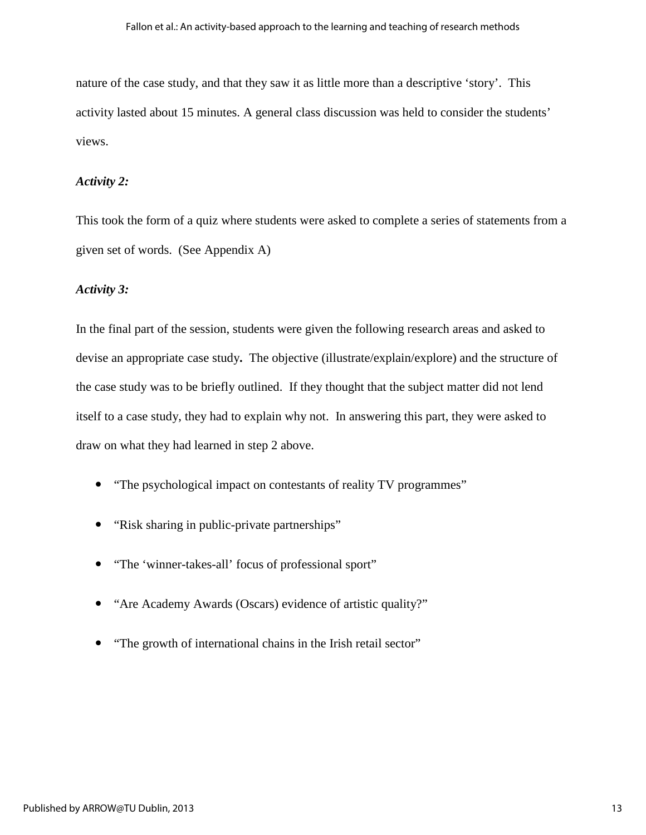nature of the case study, and that they saw it as little more than a descriptive 'story'. This activity lasted about 15 minutes. A general class discussion was held to consider the students' views.

#### *Activity 2:*

This took the form of a quiz where students were asked to complete a series of statements from a given set of words. (See Appendix A)

#### *Activity 3:*

In the final part of the session, students were given the following research areas and asked to devise an appropriate case study**.** The objective (illustrate/explain/explore) and the structure of the case study was to be briefly outlined. If they thought that the subject matter did not lend itself to a case study, they had to explain why not. In answering this part, they were asked to draw on what they had learned in step 2 above.

- "The psychological impact on contestants of reality TV programmes"
- "Risk sharing in public-private partnerships"
- "The 'winner-takes-all' focus of professional sport"
- "Are Academy Awards (Oscars) evidence of artistic quality?"
- "The growth of international chains in the Irish retail sector"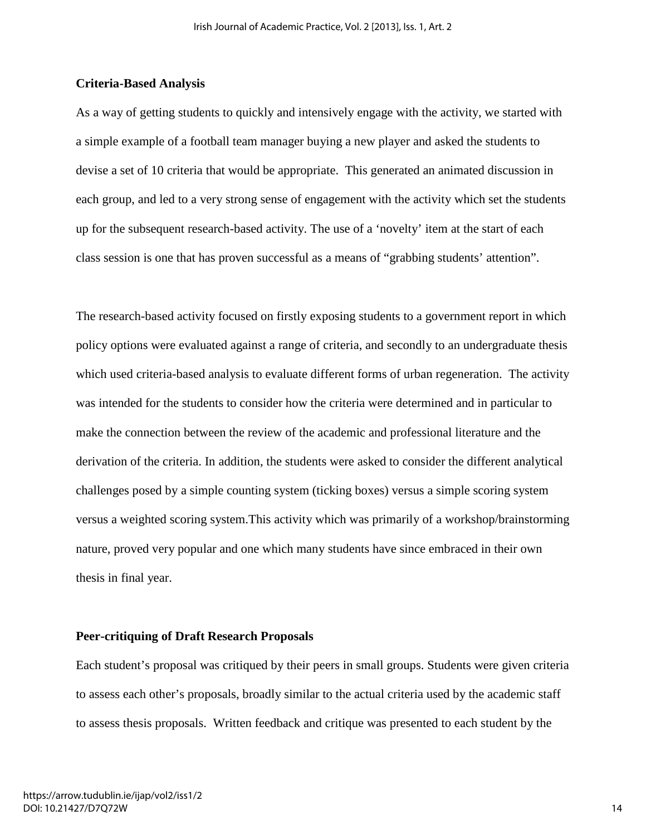#### **Criteria-Based Analysis**

As a way of getting students to quickly and intensively engage with the activity, we started with a simple example of a football team manager buying a new player and asked the students to devise a set of 10 criteria that would be appropriate. This generated an animated discussion in each group, and led to a very strong sense of engagement with the activity which set the students up for the subsequent research-based activity. The use of a 'novelty' item at the start of each class session is one that has proven successful as a means of "grabbing students' attention".

The research-based activity focused on firstly exposing students to a government report in which policy options were evaluated against a range of criteria, and secondly to an undergraduate thesis which used criteria-based analysis to evaluate different forms of urban regeneration. The activity was intended for the students to consider how the criteria were determined and in particular to make the connection between the review of the academic and professional literature and the derivation of the criteria. In addition, the students were asked to consider the different analytical challenges posed by a simple counting system (ticking boxes) versus a simple scoring system versus a weighted scoring system.This activity which was primarily of a workshop/brainstorming nature, proved very popular and one which many students have since embraced in their own thesis in final year.

#### **Peer-critiquing of Draft Research Proposals**

Each student's proposal was critiqued by their peers in small groups. Students were given criteria to assess each other's proposals, broadly similar to the actual criteria used by the academic staff to assess thesis proposals. Written feedback and critique was presented to each student by the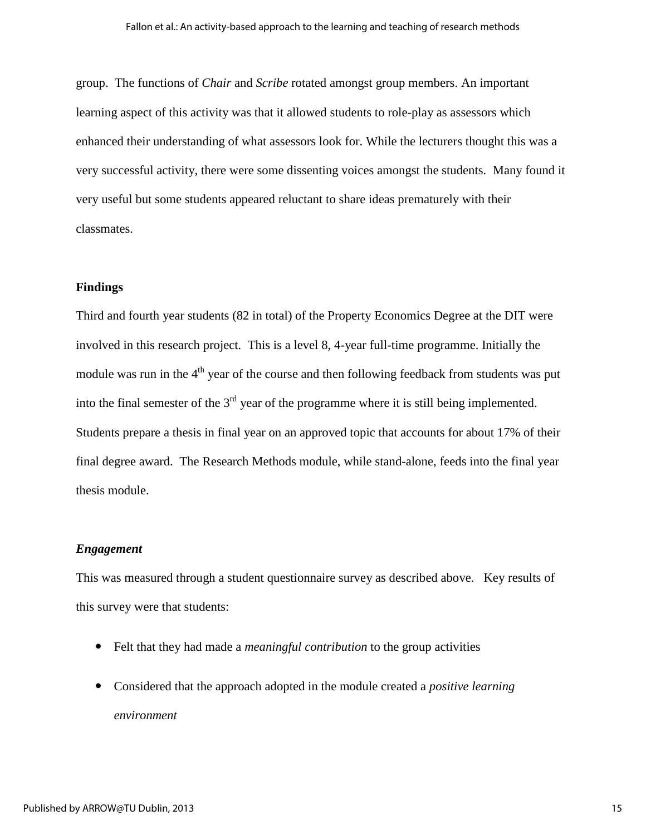group. The functions of *Chair* and *Scribe* rotated amongst group members. An important learning aspect of this activity was that it allowed students to role-play as assessors which enhanced their understanding of what assessors look for. While the lecturers thought this was a very successful activity, there were some dissenting voices amongst the students. Many found it very useful but some students appeared reluctant to share ideas prematurely with their classmates.

#### **Findings**

Third and fourth year students (82 in total) of the Property Economics Degree at the DIT were involved in this research project. This is a level 8, 4-year full-time programme. Initially the module was run in the  $4<sup>th</sup>$  year of the course and then following feedback from students was put into the final semester of the  $3<sup>rd</sup>$  year of the programme where it is still being implemented. Students prepare a thesis in final year on an approved topic that accounts for about 17% of their final degree award. The Research Methods module, while stand-alone, feeds into the final year thesis module.

#### *Engagement*

This was measured through a student questionnaire survey as described above. Key results of this survey were that students:

- Felt that they had made a *meaningful contribution* to the group activities
- Considered that the approach adopted in the module created a *positive learning environment*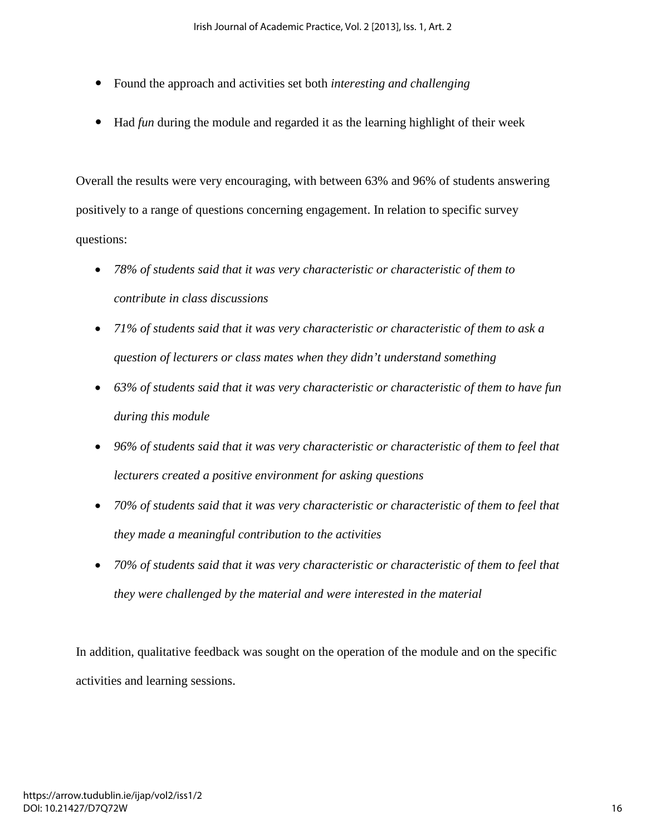- Found the approach and activities set both *interesting and challenging*
- Had *fun* during the module and regarded it as the learning highlight of their week

Overall the results were very encouraging, with between 63% and 96% of students answering positively to a range of questions concerning engagement. In relation to specific survey questions:

- *78% of students said that it was very characteristic or characteristic of them to contribute in class discussions*
- *71% of students said that it was very characteristic or characteristic of them to ask a question of lecturers or class mates when they didn't understand something*
- *63% of students said that it was very characteristic or characteristic of them to have fun during this module*
- *96% of students said that it was very characteristic or characteristic of them to feel that lecturers created a positive environment for asking questions*
- *70% of students said that it was very characteristic or characteristic of them to feel that they made a meaningful contribution to the activities*
- *70% of students said that it was very characteristic or characteristic of them to feel that they were challenged by the material and were interested in the material*

In addition, qualitative feedback was sought on the operation of the module and on the specific activities and learning sessions.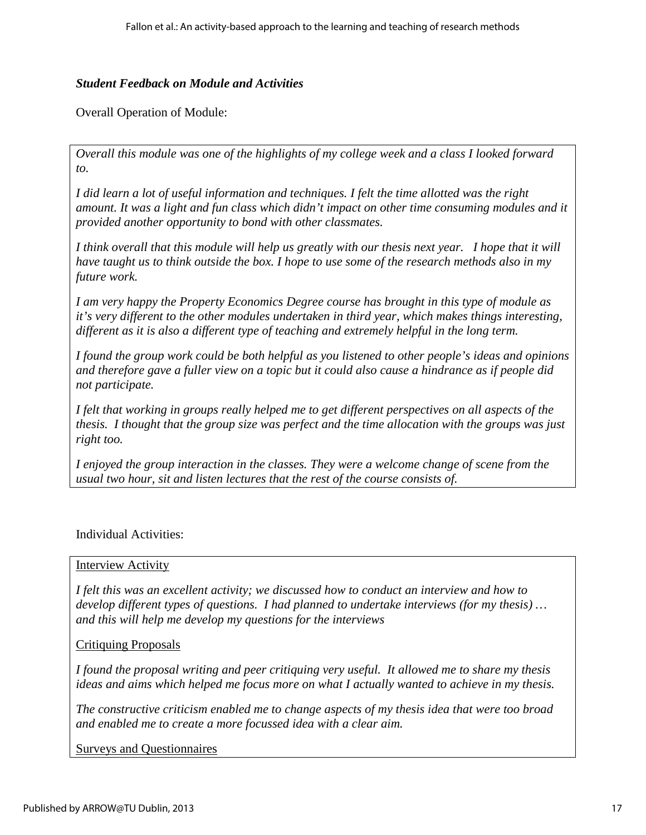## *Student Feedback on Module and Activities*

Overall Operation of Module:

*Overall this module was one of the highlights of my college week and a class I looked forward to.* 

*I did learn a lot of useful information and techniques. I felt the time allotted was the right amount. It was a light and fun class which didn't impact on other time consuming modules and it provided another opportunity to bond with other classmates.* 

*I think overall that this module will help us greatly with our thesis next year. I hope that it will have taught us to think outside the box. I hope to use some of the research methods also in my future work.* 

*I am very happy the Property Economics Degree course has brought in this type of module as it's very different to the other modules undertaken in third year, which makes things interesting, different as it is also a different type of teaching and extremely helpful in the long term.* 

*I found the group work could be both helpful as you listened to other people's ideas and opinions and therefore gave a fuller view on a topic but it could also cause a hindrance as if people did not participate.* 

*I felt that working in groups really helped me to get different perspectives on all aspects of the thesis. I thought that the group size was perfect and the time allocation with the groups was just right too.* 

*I enjoyed the group interaction in the classes. They were a welcome change of scene from the usual two hour, sit and listen lectures that the rest of the course consists of.*

## Individual Activities:

## Interview Activity

*I felt this was an excellent activity; we discussed how to conduct an interview and how to develop different types of questions. I had planned to undertake interviews (for my thesis) … and this will help me develop my questions for the interviews*

## Critiquing Proposals

*I found the proposal writing and peer critiquing very useful. It allowed me to share my thesis ideas and aims which helped me focus more on what I actually wanted to achieve in my thesis.*

*The constructive criticism enabled me to change aspects of my thesis idea that were too broad and enabled me to create a more focussed idea with a clear aim.* 

Surveys and Questionnaires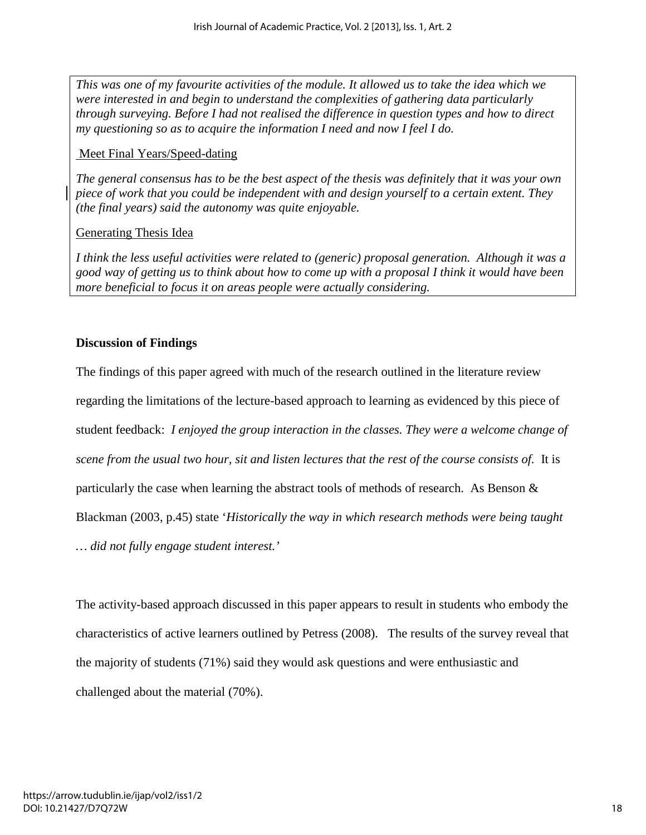*This was one of my favourite activities of the module. It allowed us to take the idea which we were interested in and begin to understand the complexities of gathering data particularly through surveying. Before I had not realised the difference in question types and how to direct my questioning so as to acquire the information I need and now I feel I do.* 

# Meet Final Years/Speed-dating

*The general consensus has to be the best aspect of the thesis was definitely that it was your own piece of work that you could be independent with and design yourself to a certain extent. They (the final years) said the autonomy was quite enjoyable.* 

# Generating Thesis Idea

*I think the less useful activities were related to (generic) proposal generation. Although it was a good way of getting us to think about how to come up with a proposal I think it would have been more beneficial to focus it on areas people were actually considering.*

# **Discussion of Findings**

The findings of this paper agreed with much of the research outlined in the literature review regarding the limitations of the lecture-based approach to learning as evidenced by this piece of student feedback: *I enjoyed the group interaction in the classes. They were a welcome change of scene from the usual two hour, sit and listen lectures that the rest of the course consists of.* It is particularly the case when learning the abstract tools of methods of research. As Benson  $\&$ Blackman (2003, p.45) state '*Historically the way in which research methods were being taught … did not fully engage student interest.'*

The activity-based approach discussed in this paper appears to result in students who embody the characteristics of active learners outlined by Petress (2008). The results of the survey reveal that the majority of students (71%) said they would ask questions and were enthusiastic and challenged about the material (70%).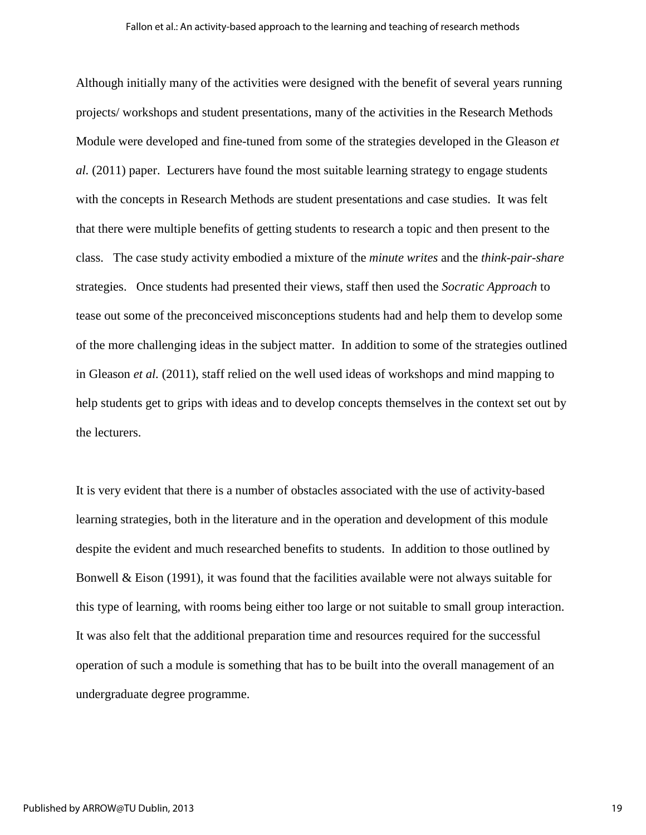Although initially many of the activities were designed with the benefit of several years running projects/ workshops and student presentations, many of the activities in the Research Methods Module were developed and fine-tuned from some of the strategies developed in the Gleason *et al.* (2011) paper. Lecturers have found the most suitable learning strategy to engage students with the concepts in Research Methods are student presentations and case studies. It was felt that there were multiple benefits of getting students to research a topic and then present to the class. The case study activity embodied a mixture of the *minute writes* and the *think-pair-share*  strategies. Once students had presented their views, staff then used the *Socratic Approach* to tease out some of the preconceived misconceptions students had and help them to develop some of the more challenging ideas in the subject matter. In addition to some of the strategies outlined in Gleason *et al.* (2011), staff relied on the well used ideas of workshops and mind mapping to help students get to grips with ideas and to develop concepts themselves in the context set out by the lecturers.

It is very evident that there is a number of obstacles associated with the use of activity-based learning strategies, both in the literature and in the operation and development of this module despite the evident and much researched benefits to students. In addition to those outlined by Bonwell  $\&$  Eison (1991), it was found that the facilities available were not always suitable for this type of learning, with rooms being either too large or not suitable to small group interaction. It was also felt that the additional preparation time and resources required for the successful operation of such a module is something that has to be built into the overall management of an undergraduate degree programme.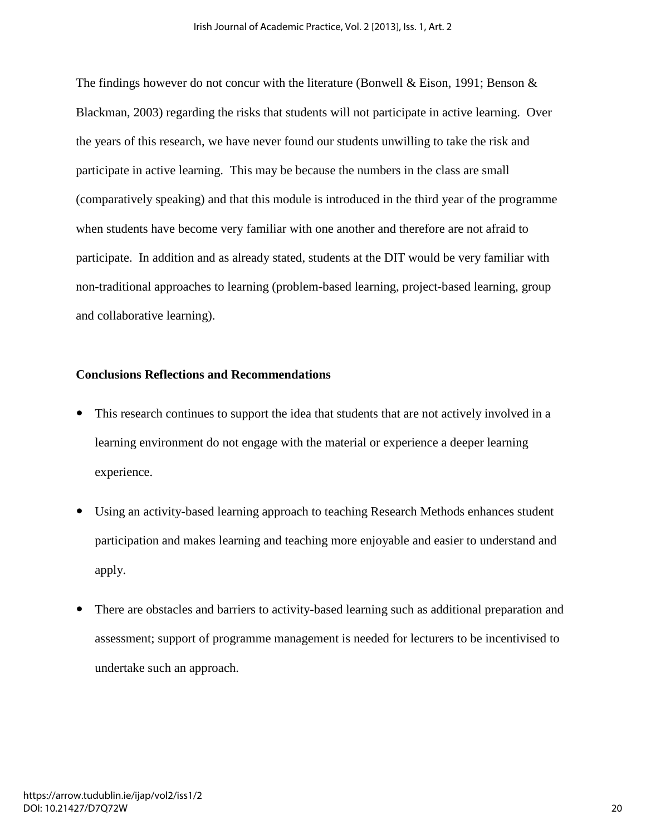The findings however do not concur with the literature (Bonwell & Eison, 1991; Benson & Blackman, 2003) regarding the risks that students will not participate in active learning. Over the years of this research, we have never found our students unwilling to take the risk and participate in active learning. This may be because the numbers in the class are small (comparatively speaking) and that this module is introduced in the third year of the programme when students have become very familiar with one another and therefore are not afraid to participate. In addition and as already stated, students at the DIT would be very familiar with non-traditional approaches to learning (problem-based learning, project-based learning, group and collaborative learning).

#### **Conclusions Reflections and Recommendations**

- This research continues to support the idea that students that are not actively involved in a learning environment do not engage with the material or experience a deeper learning experience.
- Using an activity-based learning approach to teaching Research Methods enhances student participation and makes learning and teaching more enjoyable and easier to understand and apply.
- There are obstacles and barriers to activity-based learning such as additional preparation and assessment; support of programme management is needed for lecturers to be incentivised to undertake such an approach.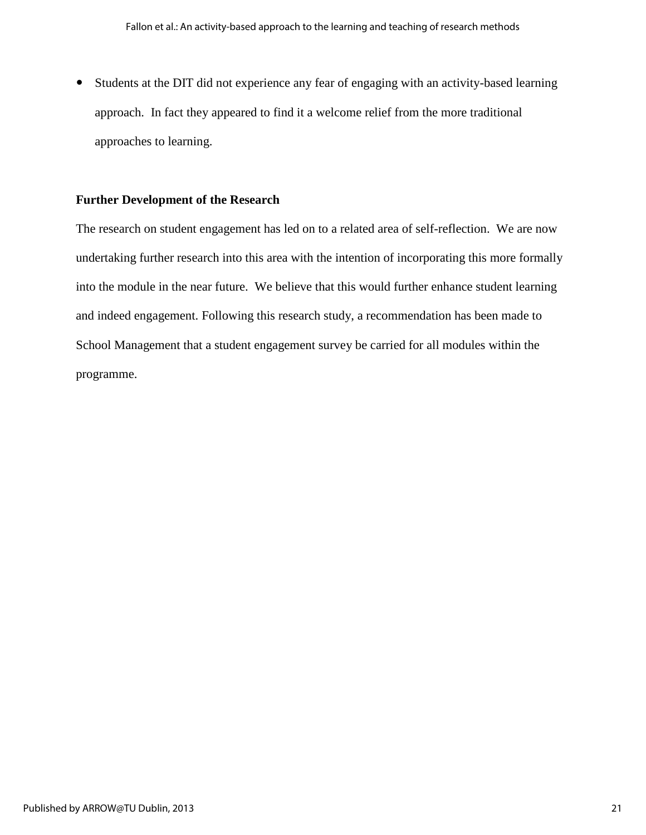Students at the DIT did not experience any fear of engaging with an activity-based learning approach. In fact they appeared to find it a welcome relief from the more traditional approaches to learning.

### **Further Development of the Research**

The research on student engagement has led on to a related area of self-reflection. We are now undertaking further research into this area with the intention of incorporating this more formally into the module in the near future. We believe that this would further enhance student learning and indeed engagement. Following this research study, a recommendation has been made to School Management that a student engagement survey be carried for all modules within the programme.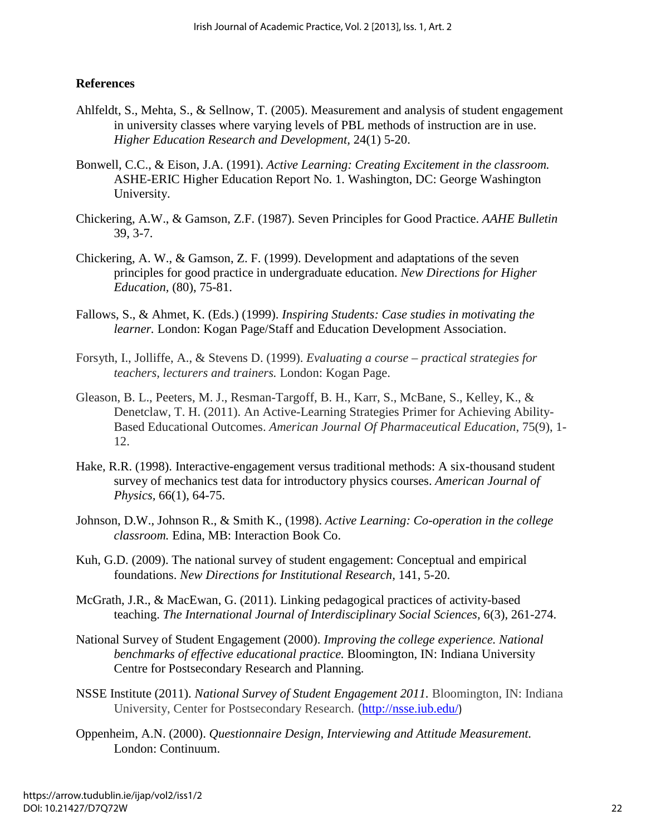# **References**

- Ahlfeldt, S., Mehta, S., & Sellnow, T. (2005). Measurement and analysis of student engagement in university classes where varying levels of PBL methods of instruction are in use. *Higher Education Research and Development,* 24(1) 5-20.
- Bonwell, C.C., & Eison, J.A. (1991). *Active Learning: Creating Excitement in the classroom.*  ASHE-ERIC Higher Education Report No. 1. Washington, DC: George Washington University.
- Chickering, A.W., & Gamson, Z.F. (1987). Seven Principles for Good Practice. *AAHE Bulletin* 39, 3-7.
- Chickering, A. W., & Gamson, Z. F. (1999). Development and adaptations of the seven principles for good practice in undergraduate education. *New Directions for Higher Education,* (80), 75-81.
- Fallows, S., & Ahmet, K. (Eds.) (1999). *Inspiring Students: Case studies in motivating the learner.* London: Kogan Page/Staff and Education Development Association.
- Forsyth, I., Jolliffe, A., & Stevens D. (1999). *Evaluating a course practical strategies for teachers, lecturers and trainers.* London: Kogan Page.
- Gleason, B. L., Peeters, M. J., Resman-Targoff, B. H., Karr, S., McBane, S., Kelley, K., & Denetclaw, T. H. (2011). An Active-Learning Strategies Primer for Achieving Ability-Based Educational Outcomes. *American Journal Of Pharmaceutical Education*, 75(9), 1- 12.
- Hake, R.R. (1998). Interactive-engagement versus traditional methods: A six-thousand student survey of mechanics test data for introductory physics courses. *American Journal of Physics,* 66(1), 64-75.
- Johnson, D.W., Johnson R., & Smith K., (1998). *Active Learning: Co-operation in the college classroom.* Edina, MB: Interaction Book Co.
- Kuh, G.D. (2009). The national survey of student engagement: Conceptual and empirical foundations. *New Directions for Institutional Research,* 141, 5-20.
- McGrath, J.R., & MacEwan, G. (2011). Linking pedagogical practices of activity-based teaching. *The International Journal of Interdisciplinary Social Sciences,* 6(3), 261-274.
- National Survey of Student Engagement (2000). *Improving the college experience. National benchmarks of effective educational practice.* Bloomington, IN: Indiana University Centre for Postsecondary Research and Planning.
- NSSE Institute (2011). *National Survey of Student Engagement 2011.* Bloomington, IN: Indiana University, Center for Postsecondary Research. (<http://nsse.iub.edu/>)
- Oppenheim, A.N. (2000). *Questionnaire Design, Interviewing and Attitude Measurement.*  London: Continuum.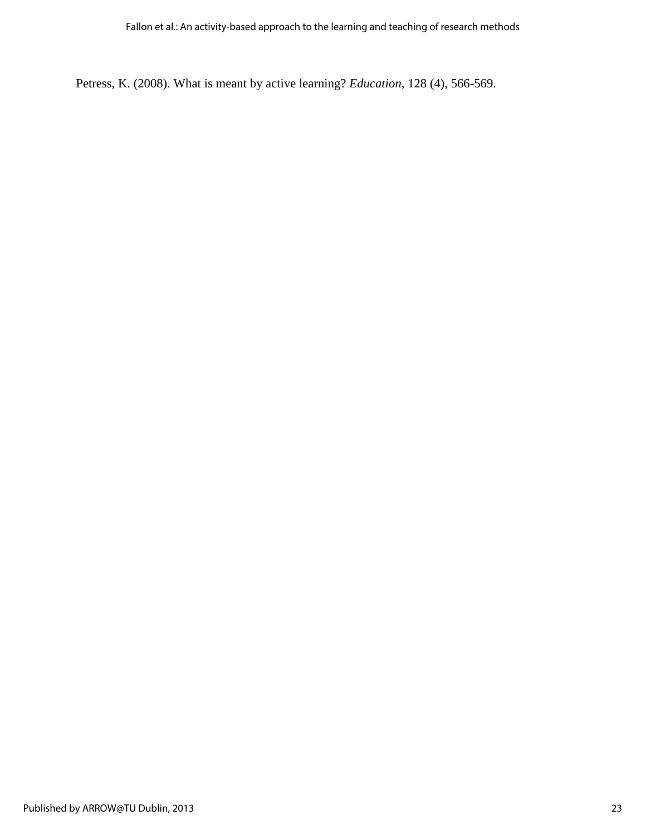Petress, K. (2008). What is meant by active learning? *Education*, 128 (4), 566-569.